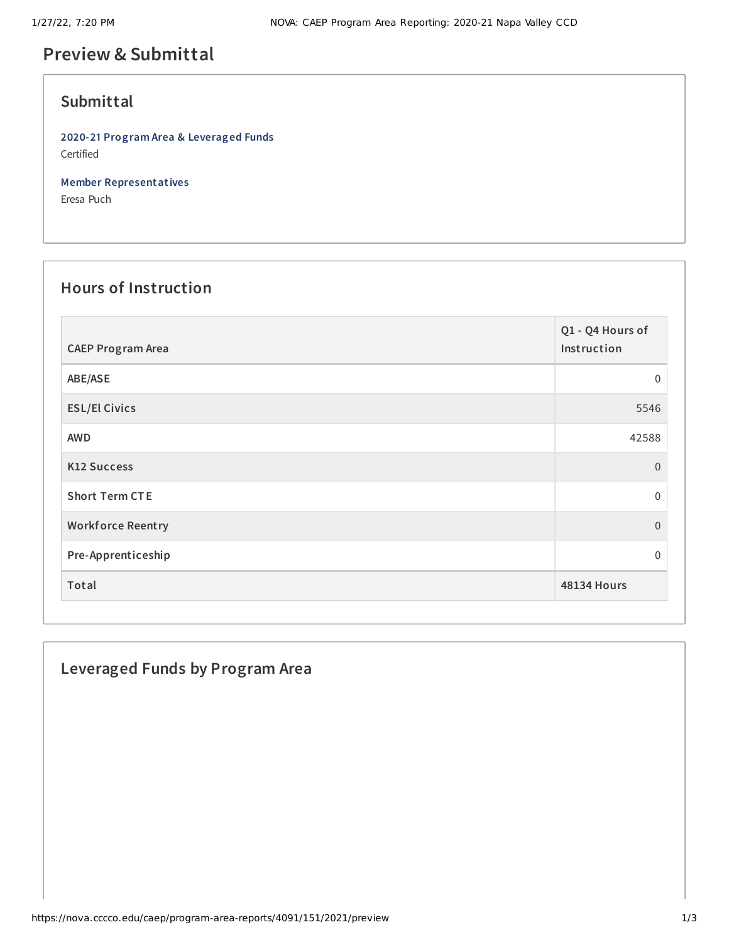# **Preview & Submittal**

### **Submittal**

**2020-21 Program Area & Leveraged Funds** Certified

**Member Representatives**

Eresa Puch

## **Hours of Instruction**

| <b>CAEP Program Area</b> | Q1 - Q4 Hours of<br>Instruction |
|--------------------------|---------------------------------|
| ABE/ASE                  | 0                               |
| <b>ESL/El Civics</b>     | 5546                            |
| <b>AWD</b>               | 42588                           |
| <b>K12 Success</b>       | $\overline{0}$                  |
| <b>Short Term CTE</b>    | $\mathbf 0$                     |
| <b>Workforce Reentry</b> | $\overline{0}$                  |
| Pre-Apprenticeship       | 0                               |
| Total                    | <b>48134 Hours</b>              |

### **Leveraged Funds by Program Area**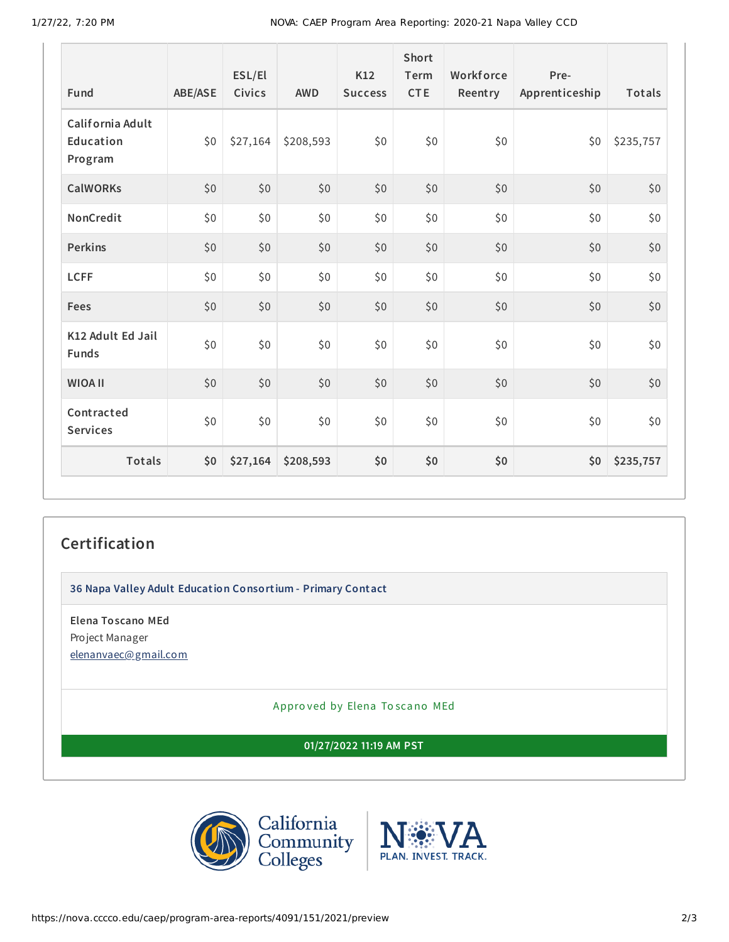| Fund                                     | ABE/ASE | ESL/El<br>Civics | <b>AWD</b> | K12<br><b>Success</b> | Short<br>Term<br><b>CTE</b> | Workforce<br>Reentry | Pre-<br>Apprenticeship | Totals    |
|------------------------------------------|---------|------------------|------------|-----------------------|-----------------------------|----------------------|------------------------|-----------|
| California Adult<br>Education<br>Program | \$0     | \$27,164         | \$208,593  | \$0                   | \$0                         | \$0                  | \$0                    | \$235,757 |
| <b>CalWORKs</b>                          | \$0     | \$0              | \$0        | \$0                   | \$0                         | \$0                  | \$0                    | \$0       |
| NonCredit                                | \$0     | \$0              | \$0        | \$0                   | \$0\$                       | \$0                  | \$0                    | \$0       |
| <b>Perkins</b>                           | \$0     | \$0              | \$0        | \$0                   | \$0                         | \$0                  | \$0                    | \$0       |
| <b>LCFF</b>                              | \$0     | \$0              | \$0        | \$0                   | \$0\$                       | \$0                  | \$0                    | \$0       |
| Fees                                     | \$0     | \$0              | \$0        | \$0                   | \$0                         | \$0                  | \$0                    | \$0       |
| K12 Adult Ed Jail<br><b>Funds</b>        | \$0\$   | \$0              | \$0        | \$0                   | \$0\$                       | \$0                  | \$0                    | \$0       |
| <b>WIOA II</b>                           | \$0     | \$0              | \$0        | \$0                   | \$0                         | \$0                  | \$0                    | \$0       |
| Contracted<br><b>Services</b>            | \$0\$   | \$0              | \$0        | \$0                   | \$0\$                       | \$0                  | \$0                    | \$0       |
| <b>Totals</b>                            | \$0     | \$27,164         | \$208,593  | \$0                   | \$0                         | \$0                  | \$0                    | \$235,757 |

### **Certification**

**36 Napa Valley Adult Education Consortium - Primary Contact**

**Elena Toscano MEd** Project Manager [elenanvaec@gmail.com](mailto:elenanvaec@gmail.com)

Appro ved by Elena To scano MEd

**01/27/2022 11:19 AM PST**